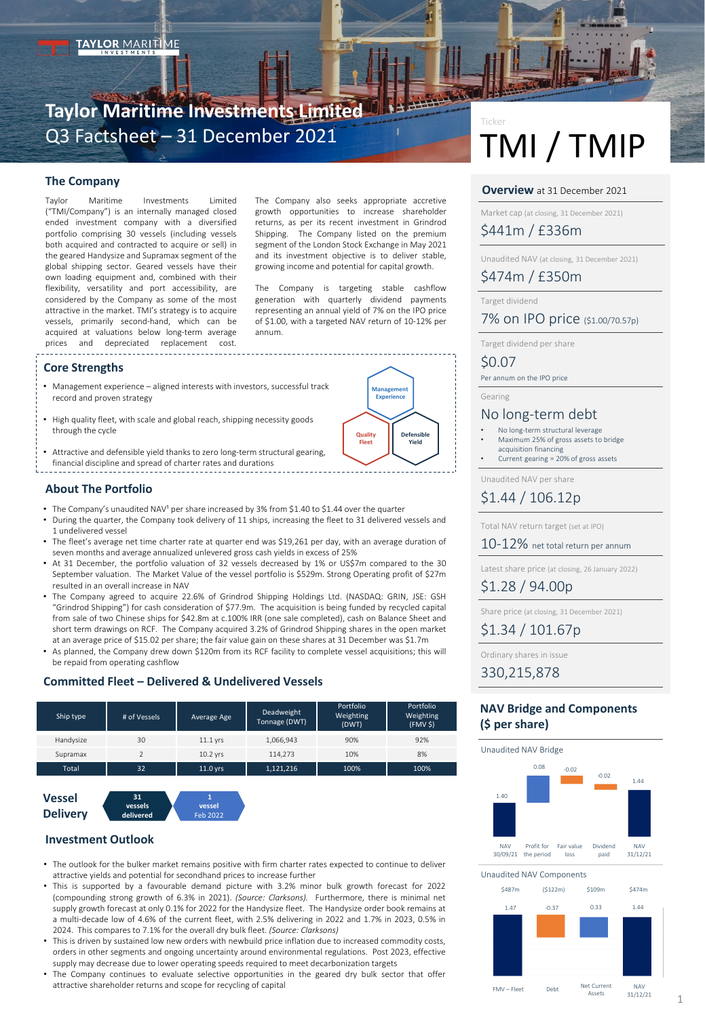# **Taylor Maritime Investments Limited** Q3 Factsheet – 31 December 2021

### **The Company**

Taylor Maritime Investments Limited ("TMI/Company") is an internally managed closed ended investment company with a diversified portfolio comprising 30 vessels (including vessels both acquired and contracted to acquire or sell) in the geared Handysize and Supramax segment of the global shipping sector. Geared vessels have their own loading equipment and, combined with their flexibility, versatility and port accessibility, are considered by the Company as some of the most attractive in the market. TMI's strategy is to acquire vessels, primarily second-hand, which can be acquired at valuations below long-term average prices and depreciated replacement cost.

The Company also seeks appropriate accretive growth opportunities to increase shareholder returns, as per its recent investment in Grindrod Shipping. The Company listed on the premium segment of the London Stock Exchange in May 2021 and its investment objective is to deliver stable, growing income and potential for capital growth.

The Company is targeting stable cashflow generation with quarterly dividend payments representing an annual yield of 7% on the IPO price of \$1.00, with a targeted NAV return of 10-12% per annum.

> **Management Experience**

> > **Defensible Yield**

**Quality Fleet**

### **Core Strengths**

- Management experience aligned interests with investors, successful track record and proven strategy
- High quality fleet, with scale and global reach, shipping necessity goods through the cycle
- Attractive and defensible yield thanks to zero long-term structural gearing, financial discipline and spread of charter rates and durations

#### **About The Portfolio**

- The Company's unaudited NAV<sup>1</sup> per share increased by 3% from \$1.40 to \$1.44 over the quarter
- During the quarter, the Company took delivery of 11 ships, increasing the fleet to 31 delivered vessels and 1 undelivered vessel
- The fleet's average net time charter rate at quarter end was \$19,261 per day, with an average duration of seven months and average annualized unlevered gross cash yields in excess of 25%
- At 31 December, the portfolio valuation of 32 vessels decreased by 1% or US\$7m compared to the 30 September valuation. The Market Value of the vessel portfolio is \$529m. Strong Operating profit of \$27m resulted in an overall increase in NAV
- The Company agreed to acquire 22.6% of Grindrod Shipping Holdings Ltd. (NASDAQ: GRIN, JSE: GSH "Grindrod Shipping") for cash consideration of \$77.9m. The acquisition is being funded by recycled capital from sale of two Chinese ships for \$42.8m at c.100% IRR (one sale completed), cash on Balance Sheet and short term drawings on RCF. The Company acquired 3.2% of Grindrod Shipping shares in the open market at an average price of \$15.02 per share; the fair value gain on these shares at 31 December was \$1.7m
- As planned, the Company drew down \$120m from its RCF facility to complete vessel acquisitions; this will be repaid from operating cashflow

### **Committed Fleet – Delivered & Undelivered Vessels**

| Ship type    | # of Vessels | Average Age | Deadweight<br>Tonnage (DWT) | Portfolio<br>Weighting<br>(DWT) | Portfolio<br>Weighting<br>(FMV S) |
|--------------|--------------|-------------|-----------------------------|---------------------------------|-----------------------------------|
| Handysize    | 30           | $11.1$ yrs  | 1,066,943                   | 90%                             | 92%                               |
| Supramax     |              | 10.2 vrs    | 114.273                     | 10%                             | 8%                                |
| <b>Total</b> | 32           | $11.0$ yrs  | 1,121,216                   | 100%                            | 100%                              |



### **Investment Outlook**

- The outlook for the bulker market remains positive with firm charter rates expected to continue to deliver attractive yields and potential for secondhand prices to increase further
- This is supported by a favourable demand picture with 3.2% minor bulk growth forecast for 2022 (compounding strong growth of 6.3% in 2021). *(Source: Clarksons).* Furthermore, there is minimal net supply growth forecast at only 0.1% for 2022 for the Handysize fleet. The Handysize order book remains at a multi-decade low of 4.6% of the current fleet, with 2.5% delivering in 2022 and 1.7% in 2023, 0.5% in 2024. This compares to 7.1% for the overall dry bulk fleet. *(Source: Clarksons)*
- This is driven by sustained low new orders with newbuild price inflation due to increased commodity costs, orders in other segments and ongoing uncertainty around environmental regulations. Post 2023, effective supply may decrease due to lower operating speeds required to meet decarbonization targets
- The Company continues to evaluate selective opportunities in the geared dry bulk sector that offer attractive shareholder returns and scope for recycling of capital

# TMI / TMIP Ticker

### **Overview** at 31 December 2021

Market cap (at closing, 31 December 2021)

\$441m / £336m

Unaudited NAV (at closing, 31 December 2021)

# \$474m / £350m

Target dividend

### 7% on IPO price (\$1.00/70.57p)

Target dividend per share

### \$0.07

Per annum on the IPO price

Gearing

# No long-term debt

- No long-term structural leverage • Maximum 25% of gross assets to bridge acquisition financing
- Current gearing = 20% of gross assets

Unaudited NAV per share

# \$1.44 / 106.12p

Total NAV return target (set at IPO)

10-12% net total return per annum

Latest share price (at closing, 26 January 2022)

\$1.28 / 94.00p

Share price (at closing, 31 December 2021)

\$1.34 / 101.67p

Ordinary shares in issue

330,215,878

# **NAV Bridge and Components (\$ per share)**

Unaudited NAV Bridge



Unaudited NAV Components